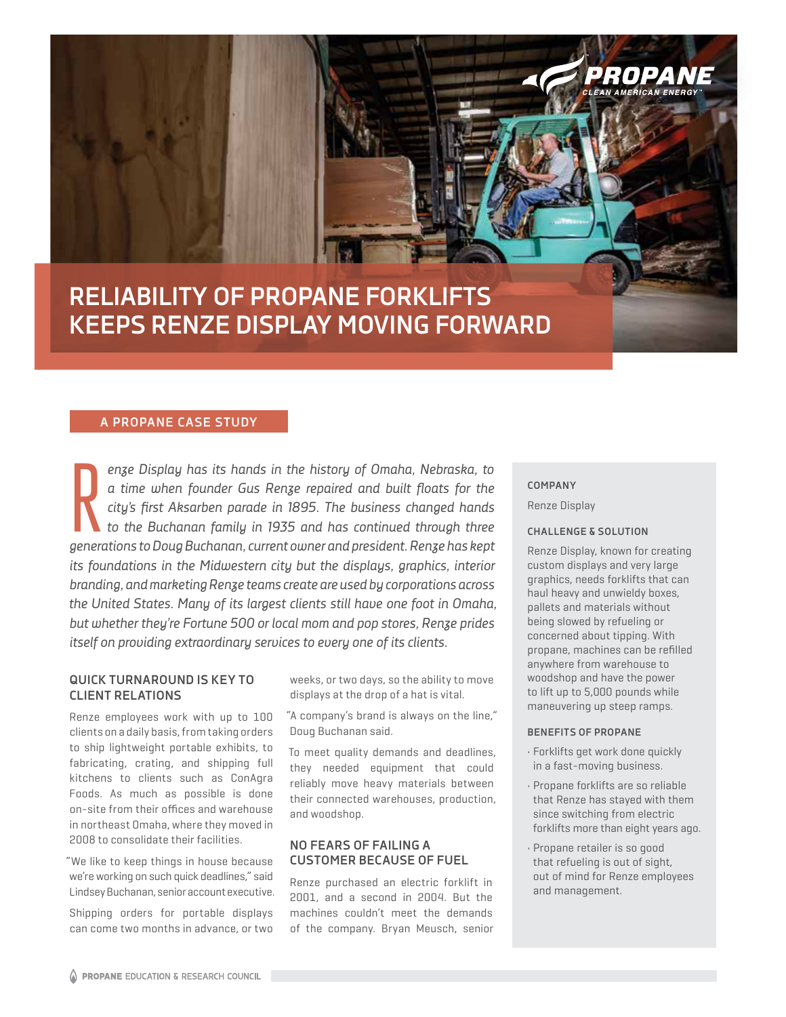# **RELIABILITY OF PROPANE FORKLIFTS KEEPS RENZE DISPLAY MOVING FORWARD**

## **A PROPANE CASE STUDY A PROPANE CASE STUDY**

*enze Display has its hands in the history of Omaha, Nebraska, to a time when founder Gus Renze repaired and built floats for the city's first Aksarben parade in 1895. The business changed hands to the Buchanan family in 1935 and has continued through three*  enze Display has its hands in the history of Omaha, Nebraska, to a time when founder Gus Renze repaired and built floats for the city's first Aksarben parade in 1895. The business changed hands to the Buchanan family in 19 *its foundations in the Midwestern city but the displays, graphics, interior branding, and marketing Renze teams create are used by corporations across the United States. Many of its largest clients still have one foot in Omaha, but whether they're Fortune 500 or local mom and pop stores, Renze prides itself on providing extraordinary services to every one of its clients.* 

## **QUICK TURNAROUND IS KEY TO CLIENT RELATIONS**

Renze employees work with up to 100 clients on a daily basis, from taking orders to ship lightweight portable exhibits, to fabricating, crating, and shipping full kitchens to clients such as ConAgra Foods. As much as possible is done on-site from their offices and warehouse in northeast Omaha, where they moved in 2008 to consolidate their facilities.

"We like to keep things in house because we're working on such quick deadlines," said Lindsey Buchanan, senior account executive.

Shipping orders for portable displays can come two months in advance, or two weeks, or two days, so the ability to move displays at the drop of a hat is vital.

"A company's brand is always on the line," Doug Buchanan said.

To meet quality demands and deadlines, they needed equipment that could reliably move heavy materials between their connected warehouses, production, and woodshop.

## **NO FEARS OF FAILING A CUSTOMER BECAUSE OF FUEL**

Renze purchased an electric forklift in 2001, and a second in 2004. But the machines couldn't meet the demands of the company. Bryan Meusch, senior

### **COMPANY**

Renze Display

## **CHALLENGE & SOLUTION**

Renze Display, known for creating custom displays and very large graphics, needs forklifts that can haul heavy and unwieldy boxes, pallets and materials without being slowed by refueling or concerned about tipping. With propane, machines can be refilled anywhere from warehouse to woodshop and have the power to lift up to 5,000 pounds while maneuvering up steep ramps.

2:71124

#### **BENEFITS OF PROPANE**

- Forklifts get work done quickly in a fast-moving business.
- Propane forklifts are so reliable that Renze has stayed with them since switching from electric forklifts more than eight years ago.
- Propane retailer is so good that refueling is out of sight, out of mind for Renze employees and management.